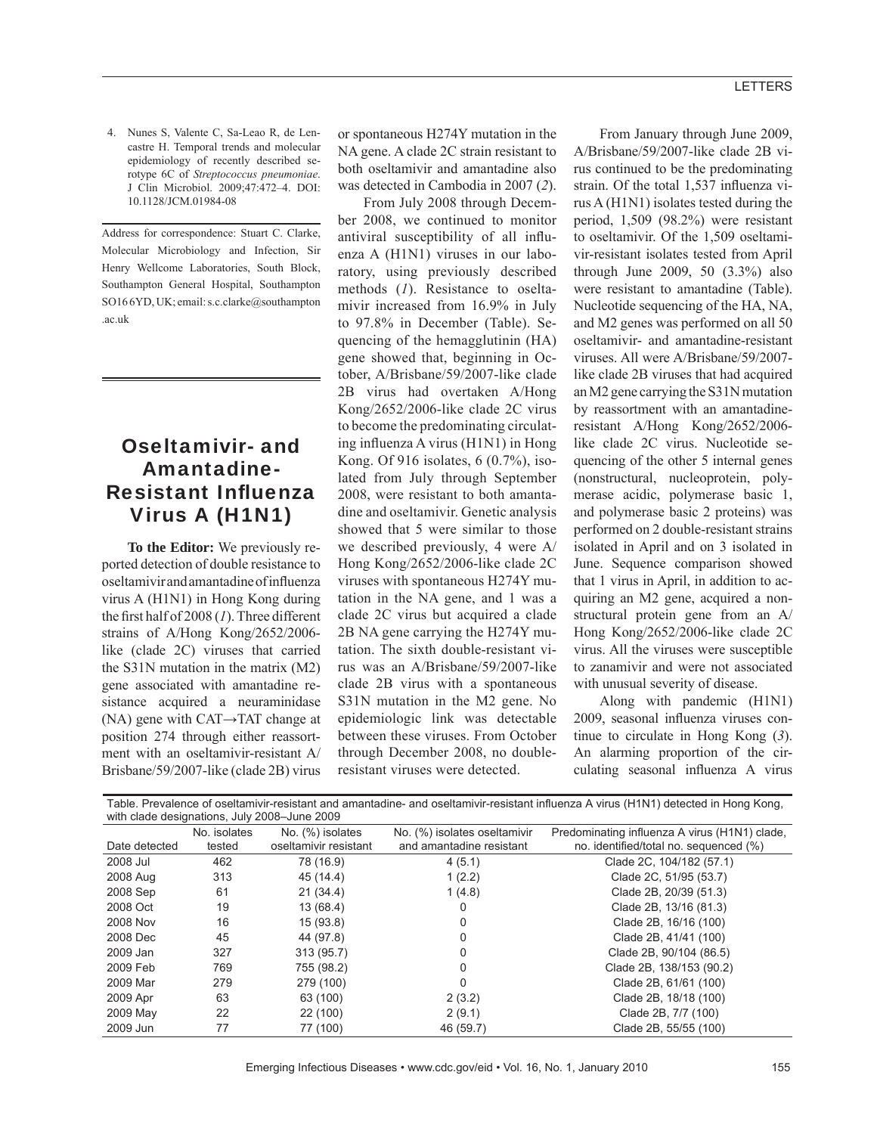4. Nunes S, Valente C, Sa-Leao R, de Lencastre H. Temporal trends and molecular epidemiology of recently described serotype 6C of *Streptococcus pneumoniae*. J Clin Microbiol. 2009;47:472–4. DOI: 10.1128/JCM.01984-08

Address for correspondence: Stuart C. Clarke, Molecular Microbiology and Infection, Sir Henry Wellcome Laboratories, South Block, Southampton General Hospital, Southampton SO16 6YD, UK; email: s.c.clarke@southampton .ac.uk

## Oseltamivir- and Amantadine-**Resistant Influenza** Virus A (H1N1)

**To the Editor:** We previously reported detection of double resistance to oseltamivir and amantadine of influenza virus A (H1N1) in Hong Kong during the first half of 2008 (1). Three different strains of A/Hong Kong/2652/2006 like (clade 2C) viruses that carried the S31N mutation in the matrix (M2) gene associated with amantadine resistance acquired a neuraminidase (NA) gene with CAT→TAT change at position 274 through either reassortment with an oseltamivir-resistant A/ Brisbane/59/2007-like (clade 2B) virus

or spontaneous H274Y mutation in the NA gene. A clade 2C strain resistant to both oseltamivir and amantadine also was detected in Cambodia in 2007 (*2*).

From July 2008 through December 2008, we continued to monitor antiviral susceptibility of all influenza A (H1N1) viruses in our laboratory, using previously described methods (*1*). Resistance to oseltamivir increased from 16.9% in July to 97.8% in December (Table). Sequencing of the hemagglutinin (HA) gene showed that, beginning in October, A/Brisbane/59/2007-like clade 2B virus had overtaken A/Hong Kong/2652/2006-like clade 2C virus to become the predominating circulating influenza A virus  $(H1N1)$  in Hong Kong. Of 916 isolates, 6 (0.7%), isolated from July through September 2008, were resistant to both amantadine and oseltamivir. Genetic analysis showed that 5 were similar to those we described previously, 4 were A/ Hong Kong/2652/2006-like clade 2C viruses with spontaneous H274Y mutation in the NA gene, and 1 was a clade 2C virus but acquired a clade 2B NA gene carrying the H274Y mutation. The sixth double-resistant virus was an A/Brisbane/59/2007-like clade 2B virus with a spontaneous S31N mutation in the M2 gene. No epidemiologic link was detectable between these viruses. From October through December 2008, no doubleresistant viruses were detected.

From January through June 2009, A/Brisbane/59/2007-like clade 2B virus continued to be the predominating strain. Of the total 1,537 influenza virus A (H1N1) isolates tested during the period, 1,509 (98.2%) were resistant to oseltamivir. Of the 1,509 oseltamivir-resistant isolates tested from April through June 2009, 50 (3.3%) also were resistant to amantadine (Table). Nucleotide sequencing of the HA, NA, and M2 genes was performed on all 50 oseltamivir- and amantadine-resistant viruses. All were A/Brisbane/59/2007 like clade 2B viruses that had acquired an M2 gene carrying the S31N mutation by reassortment with an amantadineresistant A/Hong Kong/2652/2006 like clade 2C virus. Nucleotide sequencing of the other 5 internal genes (nonstructural, nucleoprotein, polymerase acidic, polymerase basic 1, and polymerase basic 2 proteins) was performed on 2 double-resistant strains isolated in April and on 3 isolated in June. Sequence comparison showed that 1 virus in April, in addition to acquiring an M2 gene, acquired a nonstructural protein gene from an A/ Hong Kong/2652/2006-like clade 2C virus. All the viruses were susceptible to zanamivir and were not associated with unusual severity of disease.

Along with pandemic (H1N1) 2009, seasonal influenza viruses continue to circulate in Hong Kong (*3*). An alarming proportion of the circulating seasonal influenza A virus

| Table. Prevalence of oseltamivir-resistant and amantadine- and oseltamivir-resistant influenza A virus (H1N1) detected in Hong Kong,<br>with clade designations, July 2008-June 2009 |              |                       |                              |                                               |
|--------------------------------------------------------------------------------------------------------------------------------------------------------------------------------------|--------------|-----------------------|------------------------------|-----------------------------------------------|
|                                                                                                                                                                                      | No. isolates | No. (%) isolates      | No. (%) isolates oseltamivir | Predominating influenza A virus (H1N1) clade, |
| Date detected                                                                                                                                                                        | tested       | oseltamivir resistant | and amantadine resistant     | no. identified/total no. sequenced (%)        |
| 2008 Jul                                                                                                                                                                             | 462          | 78 (16.9)             | 4(5.1)                       | Clade 2C, 104/182 (57.1)                      |
| 2008 Aug                                                                                                                                                                             | 313          | 45 (14.4)             | 1(2.2)                       | Clade 2C, 51/95 (53.7)                        |
| 2008 Sep                                                                                                                                                                             | 61           | 21 (34.4)             | 1(4.8)                       | Clade 2B, 20/39 (51.3)                        |
| 2008 Oct                                                                                                                                                                             | 19           | 13 (68.4)             | 0                            | Clade 2B, 13/16 (81.3)                        |
| 2008 Nov                                                                                                                                                                             | 16           | 15(93.8)              | 0                            | Clade 2B, 16/16 (100)                         |
| 2008 Dec                                                                                                                                                                             | 45           | 44 (97.8)             | 0                            | Clade 2B, 41/41 (100)                         |
| 2009 Jan                                                                                                                                                                             | 327          | 313 (95.7)            | 0                            | Clade 2B, 90/104 (86.5)                       |
| 2009 Feb                                                                                                                                                                             | 769          | 755 (98.2)            | 0                            | Clade 2B, 138/153 (90.2)                      |
| 2009 Mar                                                                                                                                                                             | 279          | 279 (100)             | 0                            | Clade 2B, 61/61 (100)                         |
| 2009 Apr                                                                                                                                                                             | 63           | 63 (100)              | 2(3.2)                       | Clade 2B, 18/18 (100)                         |
| 2009 May                                                                                                                                                                             | 22           | 22 (100)              | 2(9.1)                       | Clade 2B, 7/7 (100)                           |
| 2009 Jun                                                                                                                                                                             | 77           | 77 (100)              | 46 (59.7)                    | Clade 2B, 55/55 (100)                         |